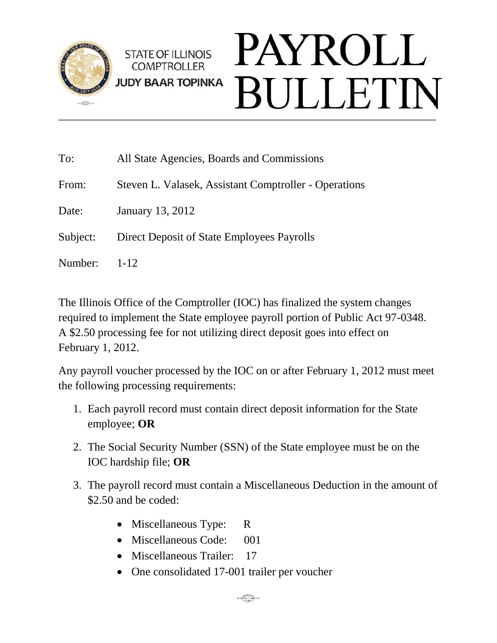

## PAYROLL **STATE OF ILLINOIS COMPTROLLER JUDY BAAR TOPINKA BULLETIN** \_\_\_\_\_\_\_\_\_\_\_\_\_\_\_\_\_\_\_\_\_\_\_\_\_\_\_\_\_\_\_\_\_\_\_\_\_\_\_\_\_\_\_\_\_\_\_\_\_\_\_\_\_\_\_\_\_\_\_\_\_\_\_\_\_\_\_\_\_\_\_\_\_\_\_\_\_\_\_\_\_\_\_\_\_

| To:      | All State Agencies, Boards and Commissions            |
|----------|-------------------------------------------------------|
| From:    | Steven L. Valasek, Assistant Comptroller - Operations |
| Date:    | January 13, 2012                                      |
| Subject: | Direct Deposit of State Employees Payrolls            |
| Number:  | $1 - 12$                                              |

The Illinois Office of the Comptroller (IOC) has finalized the system changes required to implement the State employee payroll portion of Public Act 97-0348. A \$2.50 processing fee for not utilizing direct deposit goes into effect on February 1, 2012.

Any payroll voucher processed by the IOC on or after February 1, 2012 must meet the following processing requirements:

- 1. Each payroll record must contain direct deposit information for the State employee; **OR**
- 2. The Social Security Number (SSN) of the State employee must be on the IOC hardship file; **OR**
- 3. The payroll record must contain a Miscellaneous Deduction in the amount of \$2.50 and be coded:
	- Miscellaneous Type: R
	- Miscellaneous Code: 001
	- Miscellaneous Trailer: 17
	- One consolidated 17-001 trailer per voucher